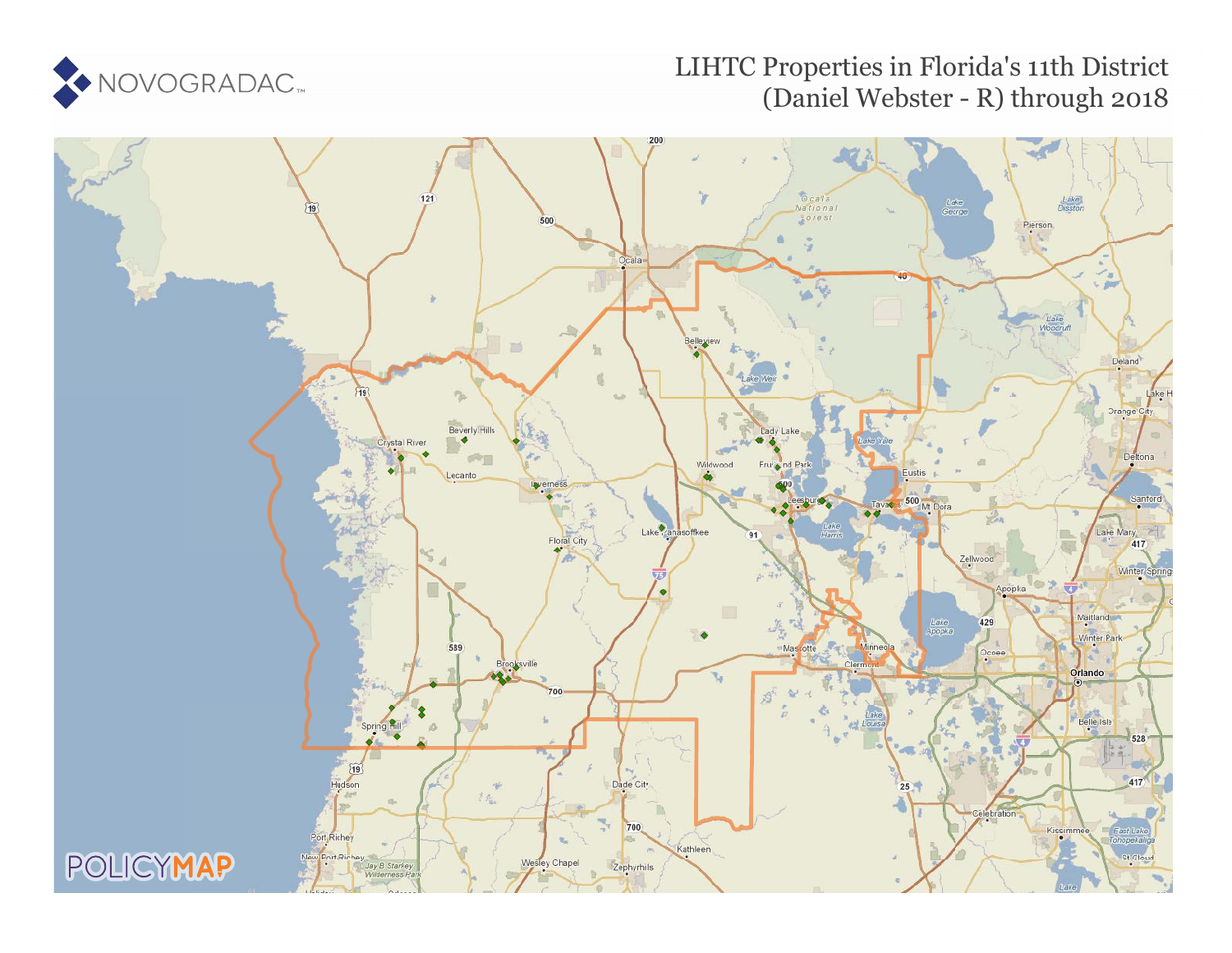

### LIHTC Properties in Florida's 11th District (Daniel Webster - R) through 2018

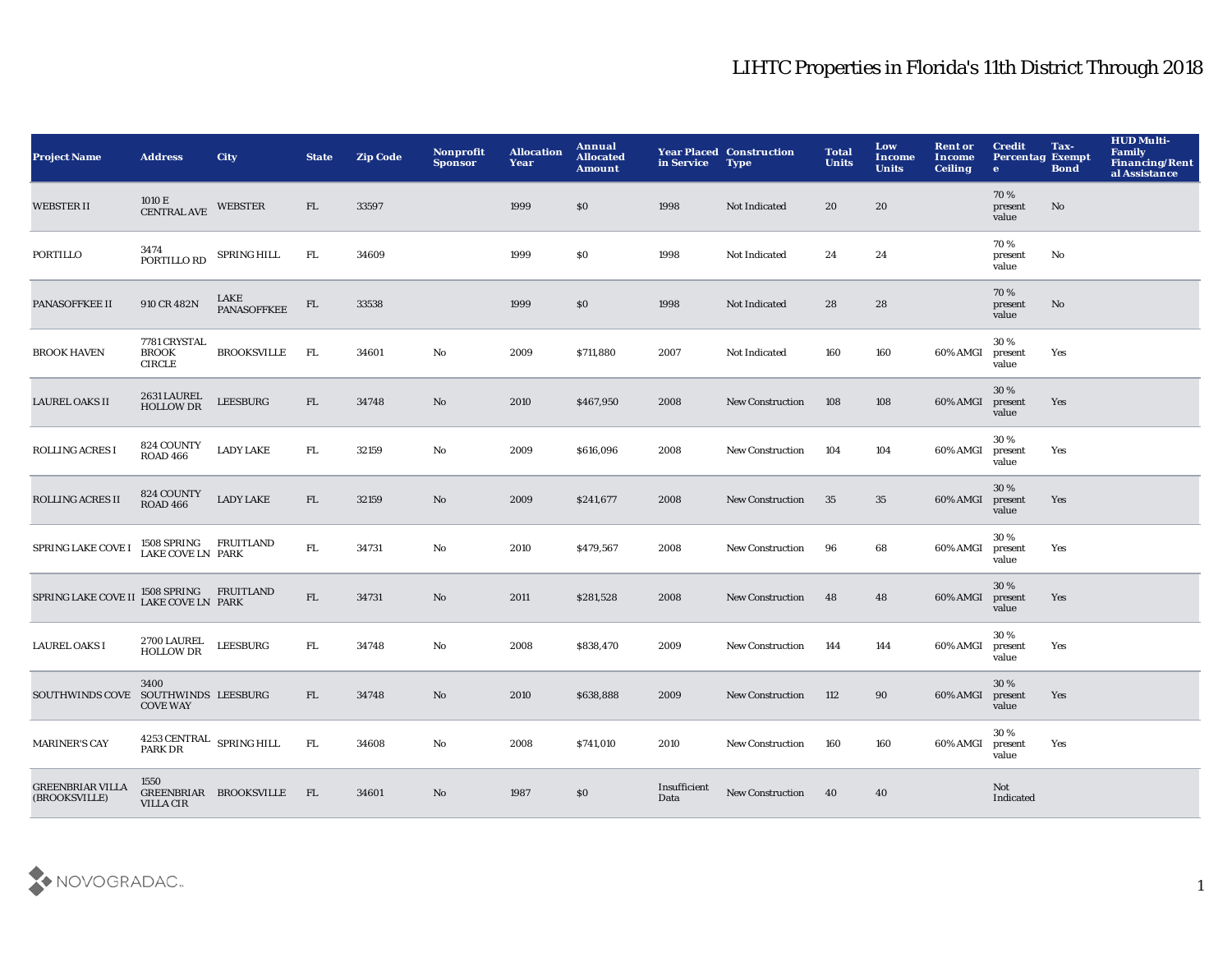| <b>Project Name</b>                      | <b>Address</b>                                | <b>City</b>            | <b>State</b> | <b>Zip Code</b> | <b>Nonprofit</b><br><b>Sponsor</b> | <b>Allocation</b><br>Year | Annual<br><b>Allocated</b><br><b>Amount</b> | in Service           | <b>Year Placed Construction</b><br><b>Type</b> | <b>Total</b><br><b>Units</b> | Low<br>Income<br><b>Units</b> | <b>Rent or</b><br>Income<br><b>Ceiling</b> | <b>Credit</b><br><b>Percentag Exempt</b><br>$\bullet$ | Tax-<br><b>Bond</b> | <b>HUD Multi-</b><br><b>Family</b><br><b>Financing/Rent</b><br>al Assistance |
|------------------------------------------|-----------------------------------------------|------------------------|--------------|-----------------|------------------------------------|---------------------------|---------------------------------------------|----------------------|------------------------------------------------|------------------------------|-------------------------------|--------------------------------------------|-------------------------------------------------------|---------------------|------------------------------------------------------------------------------|
| <b>WEBSTER II</b>                        | 1010 E<br><b>CENTRAL AVE</b>                  | <b>WEBSTER</b>         | FL.          | 33597           |                                    | 1999                      | \$0                                         | 1998                 | Not Indicated                                  | 20                           | 20                            |                                            | 70%<br>present<br>value                               | No                  |                                                                              |
| PORTILLO                                 | 3474<br>PORTILLO RD                           | SPRING HILL            | FL           | 34609           |                                    | 1999                      | \$0                                         | 1998                 | Not Indicated                                  | 24                           | 24                            |                                            | 70%<br>present<br>value                               | No                  |                                                                              |
| PANASOFFKEE II                           | 910 CR 482N                                   | LAKE<br>PANASOFFKEE    | FL           | 33538           |                                    | 1999                      | \$0                                         | 1998                 | <b>Not Indicated</b>                           | 28                           | 28                            |                                            | 70%<br>present<br>value                               | No                  |                                                                              |
| <b>BROOK HAVEN</b>                       | 7781 CRYSTAL<br><b>BROOK</b><br><b>CIRCLE</b> | <b>BROOKSVILLE</b>     | FL           | 34601           | No                                 | 2009                      | \$711,880                                   | 2007                 | Not Indicated                                  | 160                          | 160                           | 60% AMGI                                   | 30%<br>present<br>value                               | Yes                 |                                                                              |
| <b>LAUREL OAKS II</b>                    | 2631 LAUREL<br>HOLLOW DR                      | <b>LEESBURG</b>        | FL           | 34748           | No                                 | 2010                      | \$467,950                                   | 2008                 | <b>New Construction</b>                        | 108                          | 108                           | 60% AMGI                                   | 30%<br>present<br>value                               | Yes                 |                                                                              |
| <b>ROLLING ACRES I</b>                   | 824 COUNTY<br><b>ROAD 466</b>                 | <b>LADY LAKE</b>       | FL.          | 32159           | No                                 | 2009                      | \$616,096                                   | 2008                 | <b>New Construction</b>                        | 104                          | 104                           | 60% AMGI                                   | 30%<br>present<br>value                               | Yes                 |                                                                              |
| <b>ROLLING ACRES II</b>                  | 824 COUNTY<br><b>ROAD 466</b>                 | <b>LADY LAKE</b>       | FL.          | 32159           | No                                 | 2009                      | \$241,677                                   | 2008                 | <b>New Construction</b>                        | 35                           | 35                            | 60% AMGI                                   | 30%<br>present<br>value                               | Yes                 |                                                                              |
| <b>SPRING LAKE COVE I</b>                | 1508 SPRING FRUITLAND<br>LAKE COVE LN PARK    |                        | ${\rm FL}$   | 34731           | No                                 | 2010                      | \$479,567                                   | 2008                 | <b>New Construction</b>                        | 96                           | 68                            | 60% AMGI                                   | 30%<br>present<br>value                               | Yes                 |                                                                              |
| SPRING LAKE COVE II LAKE COVE LN PARK    |                                               |                        | FL           | 34731           | No                                 | 2011                      | \$281,528                                   | 2008                 | <b>New Construction</b>                        | 48                           | 48                            | 60% AMGI                                   | 30%<br>present<br>value                               | Yes                 |                                                                              |
| <b>LAUREL OAKS I</b>                     | <b>2700 LAUREL</b><br><b>HOLLOW DR</b>        | <b>LEESBURG</b>        | FL.          | 34748           | No                                 | 2008                      | \$838,470                                   | 2009                 | <b>New Construction</b>                        | 144                          | 144                           | 60% AMGI                                   | 30%<br>present<br>value                               | Yes                 |                                                                              |
| SOUTHWINDS COVE SOUTHWINDS LEESBURG      | 3400<br><b>COVE WAY</b>                       |                        | FL.          | 34748           | No                                 | 2010                      | \$638,888                                   | 2009                 | <b>New Construction</b>                        | 112                          | 90                            | 60% AMGI                                   | 30%<br>present<br>value                               | Yes                 |                                                                              |
| <b>MARINER'S CAY</b>                     | $4253$ CENTRAL $\;$ SPRING HILL PARK DR       |                        | FL.          | 34608           | No                                 | 2008                      | \$741,010                                   | 2010                 | <b>New Construction</b>                        | 160                          | 160                           | 60% AMGI                                   | 30%<br>present<br>value                               | Yes                 |                                                                              |
| <b>GREENBRIAR VILLA</b><br>(BROOKSVILLE) | 1550<br><b>VILLA CIR</b>                      | GREENBRIAR BROOKSVILLE | - FL         | 34601           | No                                 | 1987                      | \$0                                         | Insufficient<br>Data | <b>New Construction</b>                        | 40                           | 40                            |                                            | Not<br>Indicated                                      |                     |                                                                              |

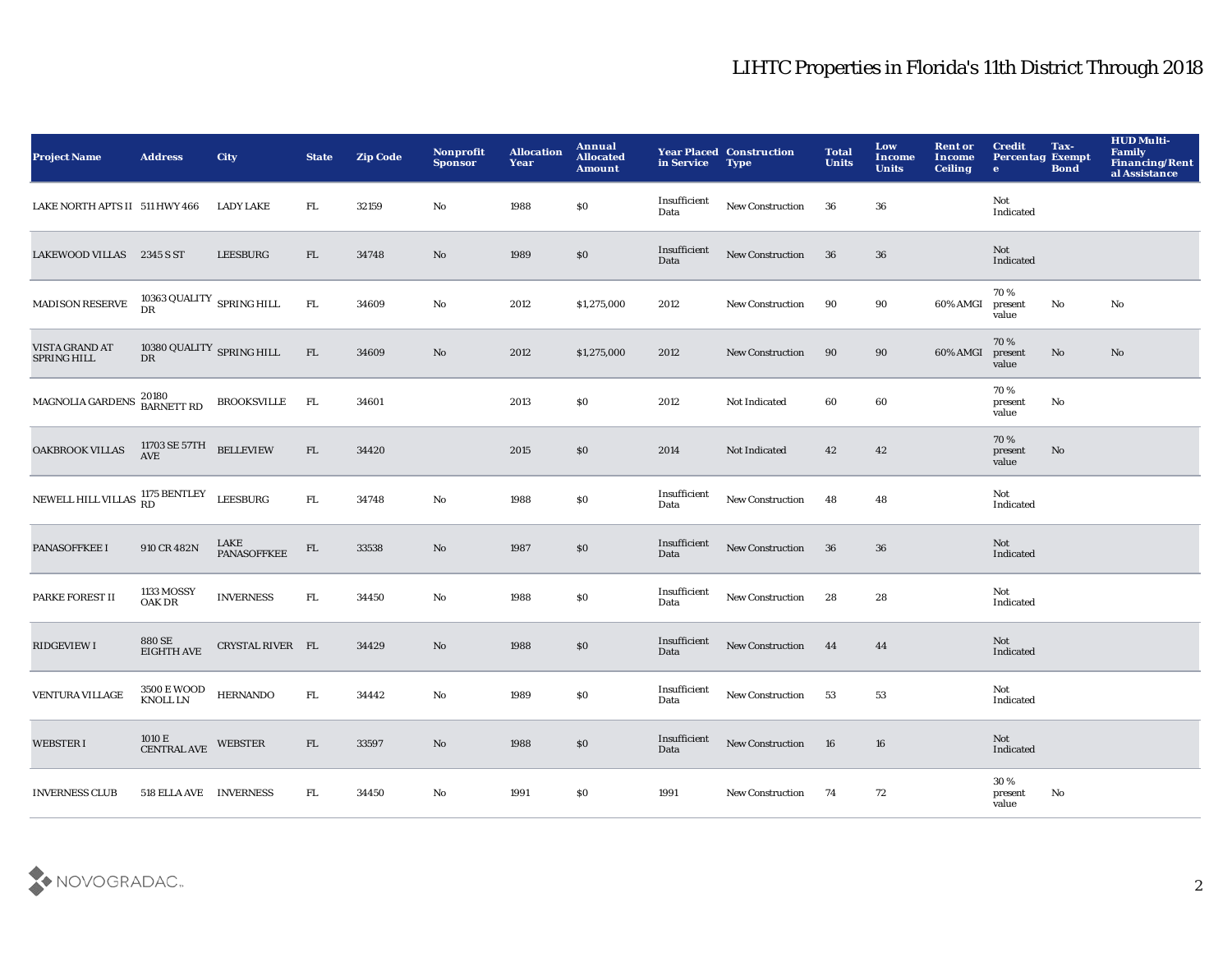| <b>Project Name</b>                                    | <b>Address</b>                                      | <b>City</b>                | <b>State</b> | <b>Zip Code</b> | Nonprofit<br><b>Sponsor</b> | <b>Allocation</b><br>Year | Annual<br><b>Allocated</b><br>Amount | in Service           | <b>Year Placed Construction</b><br><b>Type</b> | <b>Total</b><br><b>Units</b> | Low<br>Income<br><b>Units</b> | <b>Rent or</b><br><b>Income</b><br><b>Ceiling</b> | <b>Credit</b><br><b>Percentag Exempt</b><br>$\bullet$ | Tax-<br><b>Bond</b>    | <b>HUD Multi-</b><br>Family<br><b>Financing/Rent</b><br>al Assistance |
|--------------------------------------------------------|-----------------------------------------------------|----------------------------|--------------|-----------------|-----------------------------|---------------------------|--------------------------------------|----------------------|------------------------------------------------|------------------------------|-------------------------------|---------------------------------------------------|-------------------------------------------------------|------------------------|-----------------------------------------------------------------------|
| LAKE NORTH APTS II 511 HWY 466                         |                                                     | <b>LADY LAKE</b>           | FL.          | 32159           | No                          | 1988                      | $\$0$                                | Insufficient<br>Data | New Construction                               | 36                           | 36                            |                                                   | Not<br>Indicated                                      |                        |                                                                       |
| LAKEWOOD VILLAS 2345 S ST                              |                                                     | LEESBURG                   | FL           | 34748           | No                          | 1989                      | $\$0$                                | Insufficient<br>Data | New Construction                               | 36                           | ${\bf 36}$                    |                                                   | Not<br>Indicated                                      |                        |                                                                       |
| <b>MADISON RESERVE</b>                                 | $10363$ QUALITY $\:$ SPRING HILL DR                 |                            | ${\rm FL}$   | 34609           | $\mathbf{No}$               | 2012                      | \$1,275,000                          | 2012                 | <b>New Construction</b>                        | 90                           | 90                            | 60% AMGI                                          | 70%<br>present<br>value                               | $\mathbf {No}$         | $\mathbf{N}\mathbf{o}$                                                |
| VISTA GRAND AT<br><b>SPRING HILL</b>                   | 10380 QUALITY SPRING HILL<br><b>DR</b>              |                            | ${\rm FL}$   | 34609           | $\mathbf{N}\mathbf{o}$      | 2012                      | \$1,275,000                          | 2012                 | New Construction                               | 90                           | 90                            | 60% AMGI                                          | 70%<br>present<br>value                               | $\mathbf{N}\mathbf{o}$ | $\mathbf{N}\mathbf{o}$                                                |
| MAGNOLIA GARDENS                                       | 20180<br>BARNETT RD                                 | <b>BROOKSVILLE</b>         | FL           | 34601           |                             | 2013                      | \$0                                  | 2012                 | Not Indicated                                  | 60                           | 60                            |                                                   | 70%<br>present<br>value                               | No                     |                                                                       |
| <b>OAKBROOK VILLAS</b>                                 | $11703$ SE $57 \mathrm{TH}$ $$\text{BELLEVIEW}$     |                            | FL           | 34420           |                             | 2015                      | $\$0$                                | 2014                 | Not Indicated                                  | 42                           | 42                            |                                                   | 70%<br>present<br>value                               | No                     |                                                                       |
| NEWELL HILL VILLAS $_{\rm RD}^{1175}$ BENTLEY LEESBURG |                                                     |                            | FL.          | 34748           | No                          | 1988                      | $\$0$                                | Insufficient<br>Data | <b>New Construction</b>                        | 48                           | 48                            |                                                   | Not<br>Indicated                                      |                        |                                                                       |
| PANASOFFKEE I                                          | 910 CR 482N                                         | LAKE<br><b>PANASOFFKEE</b> | ${\rm FL}$   | 33538           | No                          | 1987                      | $\$0$                                | Insufficient<br>Data | New Construction                               | 36                           | 36                            |                                                   | Not<br>Indicated                                      |                        |                                                                       |
| PARKE FOREST II                                        | 1133 MOSSY<br>OAK DR                                | <b>INVERNESS</b>           | ${\rm FL}$   | 34450           | $\mathbf{No}$               | 1988                      | \$0                                  | Insufficient<br>Data | New Construction                               | 28                           | 28                            |                                                   | Not<br>Indicated                                      |                        |                                                                       |
| <b>RIDGEVIEW I</b>                                     | 880 SE<br><b>EIGHTH AVE</b>                         | CRYSTAL RIVER FL           |              | 34429           | No                          | 1988                      | $\$0$                                | Insufficient<br>Data | New Construction                               | 44                           | 44                            |                                                   | Not<br>Indicated                                      |                        |                                                                       |
| <b>VENTURA VILLAGE</b>                                 | $3500\,\mathrm{E}\,\mathrm{WOOD}$ HERNANDO KNOLL LN |                            | ${\rm FL}$   | 34442           | No                          | 1989                      | \$0                                  | Insufficient<br>Data | New Construction                               | 53                           | 53                            |                                                   | Not<br>Indicated                                      |                        |                                                                       |
| <b>WEBSTER I</b>                                       | $1010\,\mathrm{E}$ CENTRAL AVE                      | <b>WEBSTER</b>             | FL           | 33597           | $\mathbf{N}\mathbf{o}$      | 1988                      | \$0                                  | Insufficient<br>Data | New Construction                               | <b>16</b>                    | 16                            |                                                   | Not<br>Indicated                                      |                        |                                                                       |
| <b>INVERNESS CLUB</b>                                  | 518 ELLA AVE INVERNESS                              |                            | FL.          | 34450           | No                          | 1991                      | \$0                                  | 1991                 | <b>New Construction</b>                        | 74                           | 72                            |                                                   | 30%<br>present<br>value                               | No                     |                                                                       |

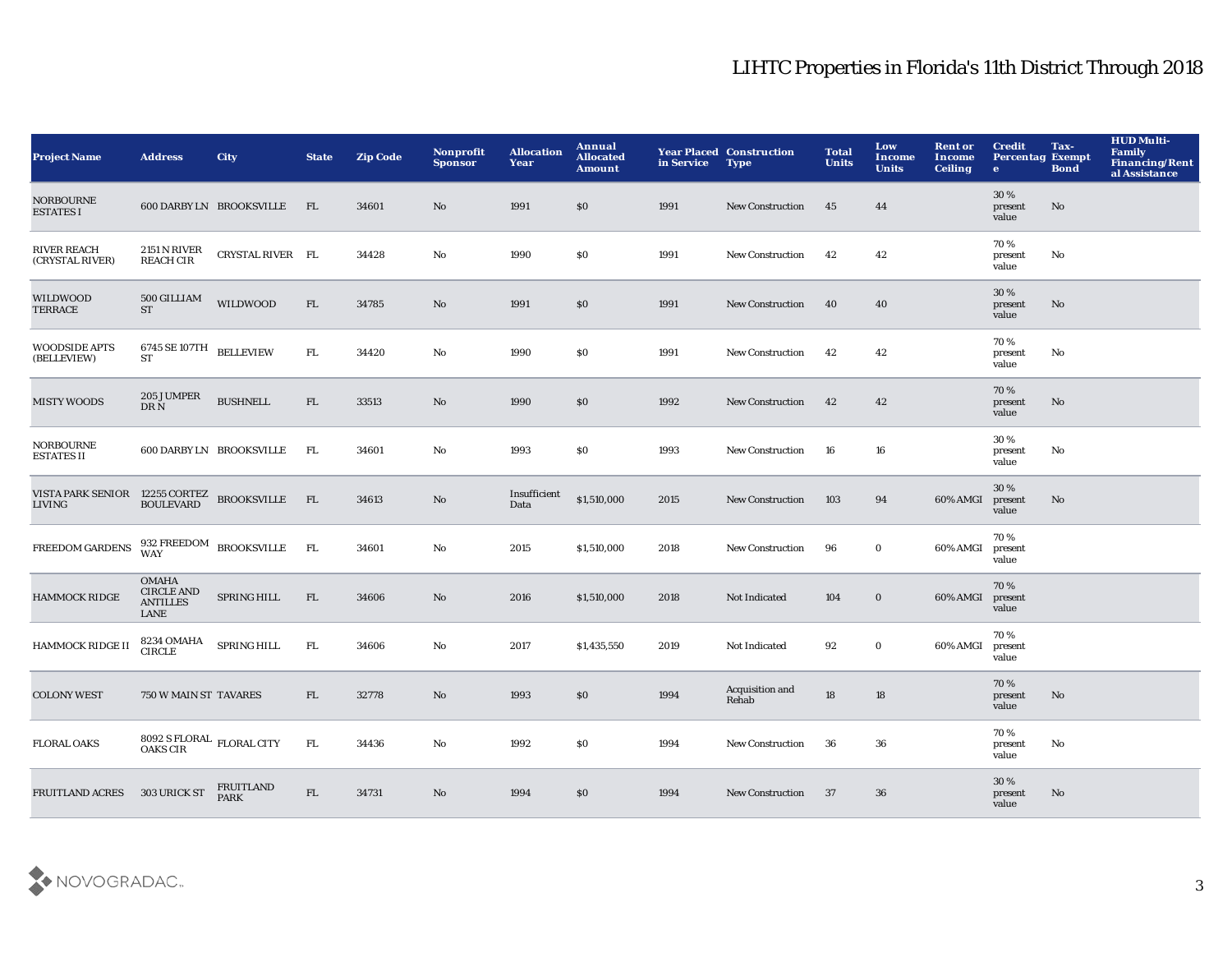| <b>Project Name</b>                                            | <b>Address</b>                                               | <b>City</b>                     | <b>State</b> | <b>Zip Code</b> | <b>Nonprofit</b><br><b>Sponsor</b> | <b>Allocation</b><br>Year | Annual<br><b>Allocated</b><br><b>Amount</b> | in Service | <b>Year Placed Construction</b><br><b>Type</b> | <b>Total</b><br><b>Units</b> | Low<br>Income<br><b>Units</b> | <b>Rent or</b><br>Income<br><b>Ceiling</b> | <b>Credit</b><br><b>Percentag Exempt</b><br>$\mathbf{e}$ | Tax-<br><b>Bond</b> | <b>HUD Multi-</b><br><b>Family</b><br><b>Financing/Rent</b><br>al Assistance |
|----------------------------------------------------------------|--------------------------------------------------------------|---------------------------------|--------------|-----------------|------------------------------------|---------------------------|---------------------------------------------|------------|------------------------------------------------|------------------------------|-------------------------------|--------------------------------------------|----------------------------------------------------------|---------------------|------------------------------------------------------------------------------|
| <b>NORBOURNE</b><br><b>ESTATES I</b>                           |                                                              | 600 DARBY LN BROOKSVILLE        | FL.          | 34601           | No                                 | 1991                      | \$0                                         | 1991       | <b>New Construction</b>                        | 45                           | 44                            |                                            | 30 %<br>present<br>value                                 | No                  |                                                                              |
| <b>RIVER REACH</b><br>(CRYSTAL RIVER)                          | 2151 N RIVER<br><b>REACH CIR</b>                             | CRYSTAL RIVER FL                |              | 34428           | No                                 | 1990                      | <b>SO</b>                                   | 1991       | <b>New Construction</b>                        | 42                           | 42                            |                                            | 70%<br>present<br>value                                  | No                  |                                                                              |
| WILDWOOD<br><b>TERRACE</b>                                     | 500 GILLIAM<br><b>ST</b>                                     | <b>WILDWOOD</b>                 | FL           | 34785           | No                                 | 1991                      | \$0                                         | 1991       | <b>New Construction</b>                        | 40                           | 40                            |                                            | 30 %<br>present<br>value                                 | No                  |                                                                              |
| <b>WOODSIDE APTS</b><br>(BELLEVIEW)                            | $6745$ SE $107 \mathrm{TH}$ $\quad$ BELLEVIEW<br><b>ST</b>   |                                 | FL           | 34420           | No                                 | 1990                      | \$0                                         | 1991       | <b>New Construction</b>                        | 42                           | 42                            |                                            | 70%<br>present<br>value                                  | No                  |                                                                              |
| <b>MISTY WOODS</b>                                             | 205 JUMPER<br>DR N                                           | <b>BUSHNELL</b>                 | FL           | 33513           | No                                 | 1990                      | \$0                                         | 1992       | <b>New Construction</b>                        | 42                           | 42                            |                                            | 70%<br>present<br>value                                  | No.                 |                                                                              |
| NORBOURNE<br><b>ESTATES II</b>                                 |                                                              | 600 DARBY LN BROOKSVILLE        | - FL         | 34601           | No                                 | 1993                      | \$0                                         | 1993       | <b>New Construction</b>                        | 16                           | 16                            |                                            | 30%<br>present<br>value                                  | No                  |                                                                              |
| VISTA PARK SENIOR 12255 CORTEZ BROOKSVILLE FL LIVING BOULEVARD |                                                              |                                 |              | 34613           | No                                 | Insufficient<br>Data      | \$1,510,000                                 | 2015       | <b>New Construction</b>                        | 103                          | 94                            | 60% AMGI                                   | 30%<br>present<br>value                                  | No                  |                                                                              |
| <b>FREEDOM GARDENS</b>                                         |                                                              | 932 FREEDOM BROOKSVILLE WAY     | <b>FL</b>    | 34601           | No                                 | 2015                      | \$1,510,000                                 | 2018       | <b>New Construction</b>                        | 96                           | $\mathbf{0}$                  | 60% AMGI                                   | 70%<br>present<br>value                                  |                     |                                                                              |
| <b>HAMMOCK RIDGE</b>                                           | <b>OMAHA</b><br><b>CIRCLE AND</b><br><b>ANTILLES</b><br>LANE | SPRING HILL                     | FL           | 34606           | No                                 | 2016                      | \$1,510,000                                 | 2018       | Not Indicated                                  | 104                          | $\bf{0}$                      | 60% AMGI                                   | 70%<br>present<br>value                                  |                     |                                                                              |
| <b>HAMMOCK RIDGE II</b>                                        | 8234 OMAHA<br><b>CIRCLE</b>                                  | <b>SPRING HILL</b>              | FL           | 34606           | No                                 | 2017                      | \$1,435,550                                 | 2019       | Not Indicated                                  | 92                           | $\bf{0}$                      | 60% AMGI                                   | 70%<br>present<br>value                                  |                     |                                                                              |
| <b>COLONY WEST</b>                                             | 750 W MAIN ST TAVARES                                        |                                 | FL           | 32778           | No                                 | 1993                      | \$0                                         | 1994       | Acquisition and<br>Rehab                       | 18                           | 18                            |                                            | 70%<br>present<br>value                                  | No                  |                                                                              |
| <b>FLORAL OAKS</b>                                             | 8092 S FLORAL FLORAL CITY<br>OAKS CIR                        |                                 | FL           | 34436           | No                                 | 1992                      | \$0                                         | 1994       | <b>New Construction</b>                        | 36                           | 36                            |                                            | 70%<br>present<br>value                                  | No                  |                                                                              |
| <b>FRUITLAND ACRES</b>                                         | 303 URICK ST                                                 | <b>FRUITLAND</b><br><b>PARK</b> | FL.          | 34731           | No                                 | 1994                      | \$0                                         | 1994       | <b>New Construction</b>                        | 37                           | 36                            |                                            | 30%<br>present<br>value                                  | No                  |                                                                              |

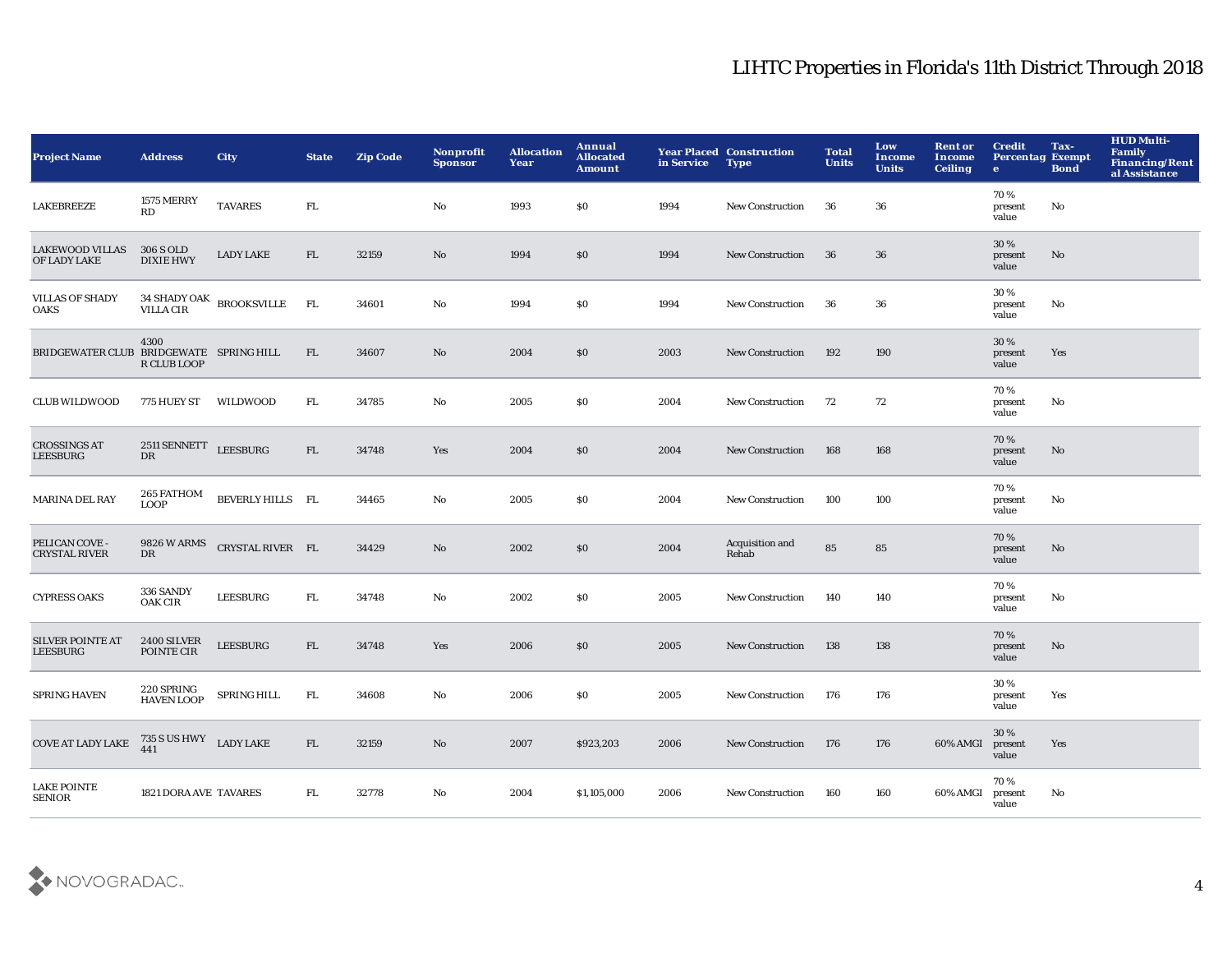| <b>Project Name</b>                        | <b>Address</b>                           | <b>City</b>                               | <b>State</b> | <b>Zip Code</b> | Nonprofit<br><b>Sponsor</b> | <b>Allocation</b><br>Year | Annual<br><b>Allocated</b><br><b>Amount</b> | in Service | <b>Year Placed Construction</b><br><b>Type</b> | <b>Total</b><br><b>Units</b> | Low<br><b>Income</b><br><b>Units</b> | <b>Rent or</b><br><b>Income</b><br><b>Ceiling</b> | <b>Credit</b><br><b>Percentag Exempt</b><br>$\bullet$ | Tax-<br><b>Bond</b> | <b>HUD Multi-</b><br>Family<br><b>Financing/Rent</b><br>al Assistance |
|--------------------------------------------|------------------------------------------|-------------------------------------------|--------------|-----------------|-----------------------------|---------------------------|---------------------------------------------|------------|------------------------------------------------|------------------------------|--------------------------------------|---------------------------------------------------|-------------------------------------------------------|---------------------|-----------------------------------------------------------------------|
| <b>LAKEBREEZE</b>                          | 1575 MERRY<br>RD                         | <b>TAVARES</b>                            | ${\rm FL}$   |                 | No                          | 1993                      | \$0                                         | 1994       | New Construction                               | 36                           | 36                                   |                                                   | 70%<br>present<br>value                               | No                  |                                                                       |
| <b>LAKEWOOD VILLAS</b><br>OF LADY LAKE     | 306 S OLD<br><b>DIXIE HWY</b>            | <b>LADY LAKE</b>                          | FL           | 32159           | No                          | 1994                      | \$0                                         | 1994       | New Construction                               | 36                           | 36                                   |                                                   | 30%<br>present<br>value                               | No                  |                                                                       |
| <b>VILLAS OF SHADY</b><br><b>OAKS</b>      |                                          | $34$ SHADY OAK $\;$ BROOKSVILLE VILLA CIR | FL           | 34601           | No                          | 1994                      | \$0                                         | 1994       | <b>New Construction</b>                        | 36                           | 36                                   |                                                   | 30%<br>present<br>value                               | No                  |                                                                       |
| BRIDGEWATER CLUB BRIDGEWATE SPRING HILL    | 4300<br>R CLUB LOOP                      |                                           | FL.          | 34607           | No                          | 2004                      | \$0                                         | 2003       | <b>New Construction</b>                        | 192                          | 190                                  |                                                   | 30 %<br>present<br>value                              | Yes                 |                                                                       |
| <b>CLUB WILDWOOD</b>                       | 775 HUEY ST WILDWOOD                     |                                           | FL.          | 34785           | No                          | 2005                      | \$0                                         | 2004       | New Construction                               | 72                           | 72                                   |                                                   | 70 %<br>present<br>value                              | No                  |                                                                       |
| <b>CROSSINGS AT</b><br><b>LEESBURG</b>     | $2511\,{\rm SENNETT}$ LEESBURG<br>DR     |                                           | FL           | 34748           | Yes                         | 2004                      | \$0                                         | 2004       | <b>New Construction</b>                        | 168                          | 168                                  |                                                   | 70%<br>present<br>value                               | No                  |                                                                       |
| <b>MARINA DEL RAY</b>                      | 265 FATHOM<br><b>LOOP</b>                | BEVERLY HILLS FL                          |              | 34465           | No                          | 2005                      | \$0                                         | 2004       | New Construction                               | 100                          | 100                                  |                                                   | 70%<br>present<br>value                               | No                  |                                                                       |
| PELICAN COVE -<br><b>CRYSTAL RIVER</b>     | 9826 W ARMS<br>DR                        | CRYSTAL RIVER FL                          |              | 34429           | No                          | 2002                      | \$0                                         | 2004       | Acquisition and<br>Rehab                       | 85                           | 85                                   |                                                   | 70%<br>present<br>value                               | No                  |                                                                       |
| <b>CYPRESS OAKS</b>                        | 336 SANDY<br><b>OAK CIR</b>              | ${\tt LEESBURG}$                          | FL.          | 34748           | $\mathbf{N}\mathbf{o}$      | 2002                      | S <sub>0</sub>                              | 2005       | <b>New Construction</b>                        | 140                          | 140                                  |                                                   | 70%<br>present<br>value                               | No                  |                                                                       |
| <b>SILVER POINTE AT</b><br><b>LEESBURG</b> | 2400 SILVER<br>POINTE CIR                | <b>LEESBURG</b>                           | FL.          | 34748           | Yes                         | 2006                      | \$0                                         | 2005       | <b>New Construction</b>                        | 138                          | 138                                  |                                                   | 70%<br>present<br>value                               | No                  |                                                                       |
| SPRING HAVEN                               | $220\,{\rm SPRING}$<br><b>HAVEN LOOP</b> | SPRING HILL                               | FL.          | 34608           | No                          | 2006                      | \$0                                         | 2005       | <b>New Construction</b>                        | 176                          | 176                                  |                                                   | 30%<br>present<br>value                               | Yes                 |                                                                       |
| <b>COVE AT LADY LAKE</b>                   | $735\;{\rm S}$ US HWY LADY LAKE $441$    |                                           | FL           | 32159           | No                          | 2007                      | \$923,203                                   | 2006       | <b>New Construction</b>                        | 176                          | 176                                  | 60% AMGI                                          | 30%<br>present<br>value                               | Yes                 |                                                                       |
| <b>LAKE POINTE</b><br><b>SENIOR</b>        | 1821 DORA AVE TAVARES                    |                                           | FL.          | 32778           | No                          | 2004                      | \$1,105,000                                 | 2006       | <b>New Construction</b>                        | 160                          | 160                                  | 60% AMGI                                          | 70%<br>present<br>value                               | No                  |                                                                       |